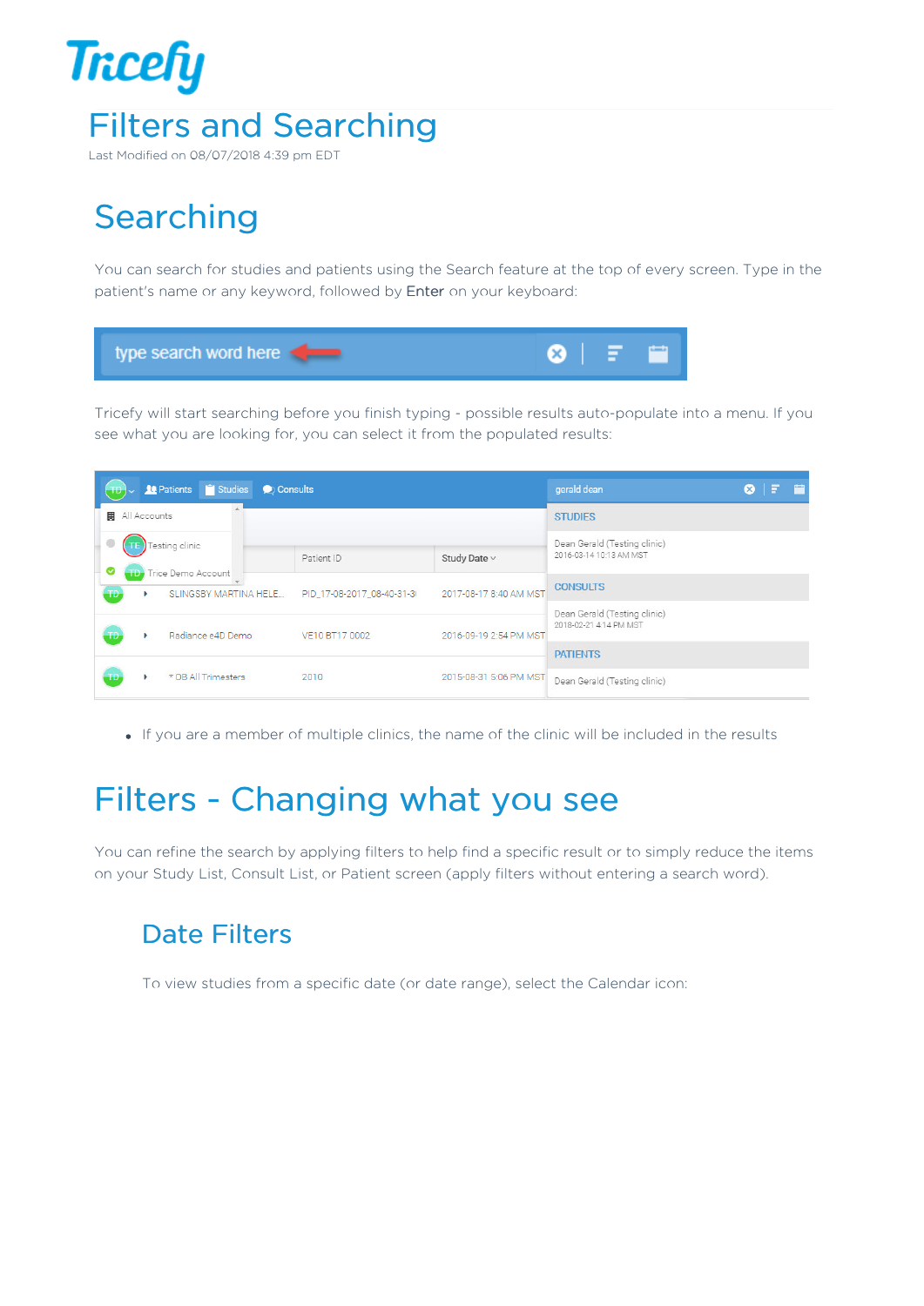

Last Modified on 08/07/2018 4:39 pm EDT

# **Searching**

You can search for studies and patients using the Search feature at the top of every screen. Type in the patient's name or any keyword, followed by Enter on your keyboard:



Tricefy will start searching before you finish typing - possible results auto-populate into a menu. If you see what you are looking for, you can select it from the populated results:

| <b>14</b> Patients <sup>1</sup> Studies <b>2</b> Consults |              |                              |                              |                        | gerald dean                  |  | $\circ$ F B |  |
|-----------------------------------------------------------|--------------|------------------------------|------------------------------|------------------------|------------------------------|--|-------------|--|
| 圓                                                         | All Accounts |                              | <b>STUDIES</b>               |                        |                              |  |             |  |
|                                                           |              | Testing clinic               | Dean Gerald (Testing clinic) |                        |                              |  |             |  |
| ల                                                         |              | <b>TD</b> Trice Demo Account | Patient ID                   | Study Date ~           | 2016-03-14 10:13 AM MST      |  |             |  |
| TD                                                        | ٠            | SLINGSBY MARTINA HELE        | PID_17-08-2017_08-40-31-3I   | 2017-08-17 8:40 AM MST | <b>CONSULTS</b>              |  |             |  |
|                                                           |              |                              |                              |                        | Dean Gerald (Testing clinic) |  |             |  |
| TD.                                                       |              | Radiance e4D Demo            | VE10 BT17 0002               | 2016-09-19 2:54 PM MST | 2018-02-21 4:14 PM MST       |  |             |  |
|                                                           |              |                              |                              |                        | <b>PATIENTS</b>              |  |             |  |
| ŦĐ                                                        |              | * OB All Trimesters          | 2010                         | 2015-08-31 5:06 PM MST | Dean Gerald (Testing clinic) |  |             |  |

If you are a member of multiple clinics, the name of the clinic will be included in the results

## Filters - Changing what you see

You can refine the search by applying filters to help find a specific result or to simply reduce the items on your Study List, Consult List, or Patient screen (apply filters without entering a search word).

#### Date Filters

To view studies from a specific date (or date range), select the Calendar icon: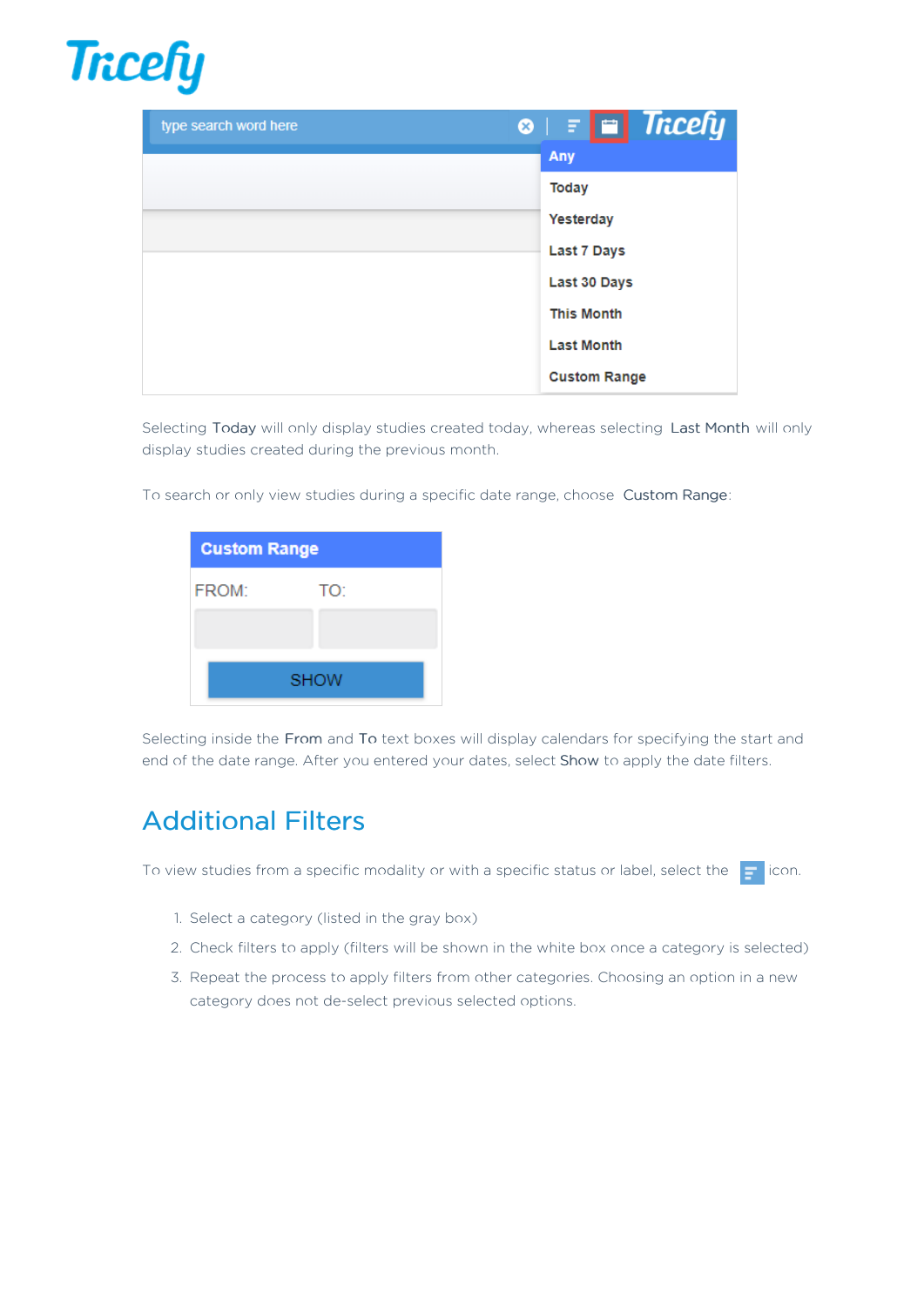

| type search word here | $\circ$ $\mathsf{E}$ $\blacksquare$ Tricefy |
|-----------------------|---------------------------------------------|
|                       | Any                                         |
|                       | <b>Today</b>                                |
|                       | Yesterday                                   |
|                       | Last 7 Days                                 |
|                       | Last 30 Days                                |
|                       | <b>This Month</b>                           |
|                       | <b>Last Month</b>                           |
|                       | <b>Custom Range</b>                         |

Selecting Today will only display studies created today, whereas selecting Last Month will only display studies created during the previous month.

To search or only view studies during a specific date range, choose Custom Range:

| <b>Custom Range</b> |     |  |  |  |  |  |
|---------------------|-----|--|--|--|--|--|
| FROM:               | TO: |  |  |  |  |  |
|                     |     |  |  |  |  |  |
| <b>SHOW</b>         |     |  |  |  |  |  |
|                     |     |  |  |  |  |  |

Selecting inside the From and To text boxes will display calendars for specifying the start and end of the date range. After you entered your dates, select Show to apply the date filters.

### Additional Filters

To view studies from a specific modality or with a specific status or label, select the  $\Box$  icon.

- 1. Select a category (listed in the gray box)
- 2. Check filters to apply (filters will be shown in the white box once a category is selected)
- 3. Repeat the process to apply filters from other categories. Choosing an option in a new category does not de-select previous selected options.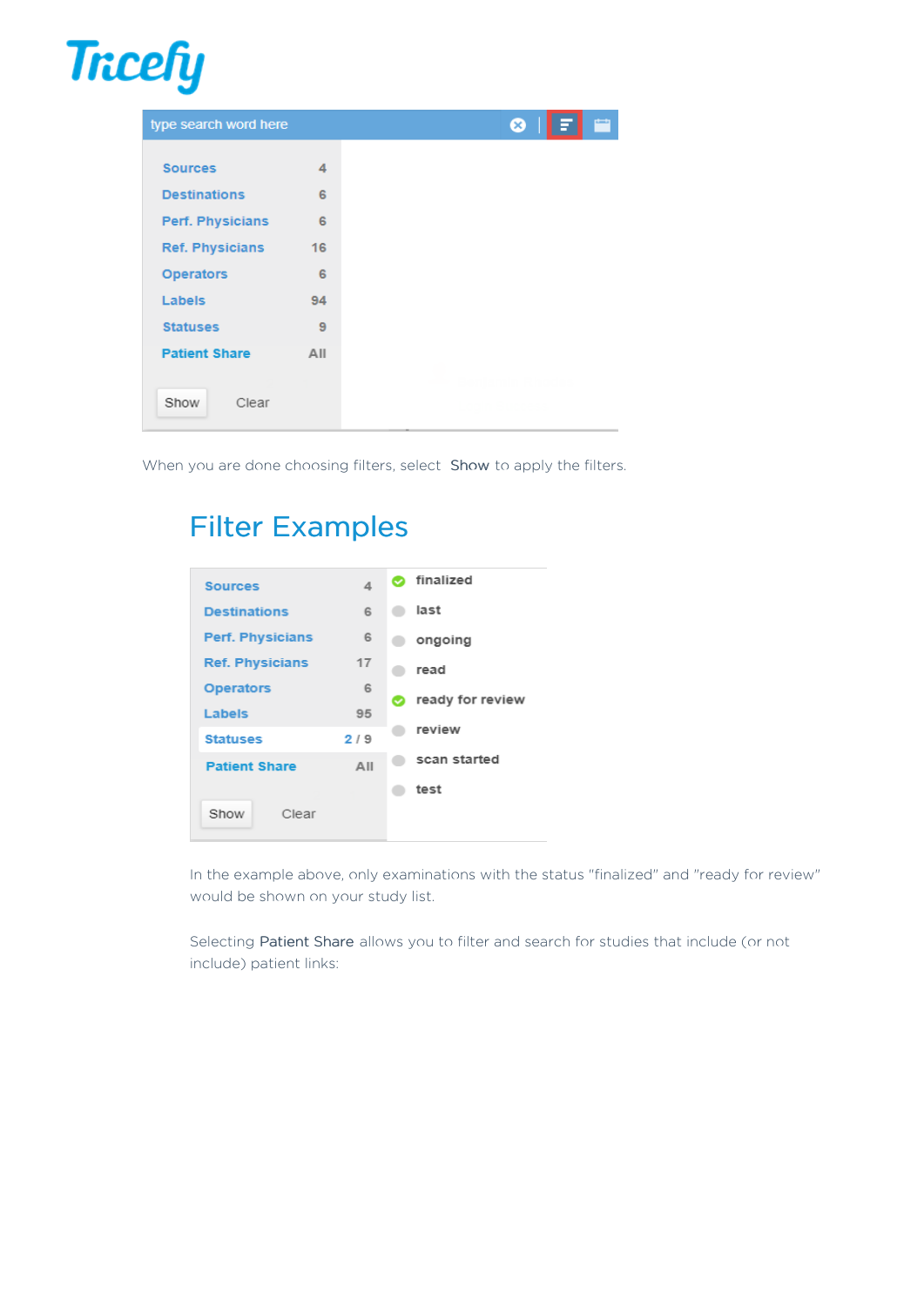

| type search word here  |     |
|------------------------|-----|
|                        |     |
| <b>Sources</b>         | 4   |
| <b>Destinations</b>    | 6   |
| Perf. Physicians       | 6   |
| <b>Ref. Physicians</b> | 16  |
| <b>Operators</b>       | 6   |
| Labels                 | 94  |
| <b>Statuses</b>        | 9   |
| <b>Patient Share</b>   | All |
|                        |     |
| Show<br>Clear          |     |

When you are done choosing filters, select Show to apply the filters.

### Filter Examples



In the example above, only examinations with the status "finalized" and "ready for review" would be shown on your study list.

Selecting Patient Share allows you to filter and search for studies that include (or not include) patient links: